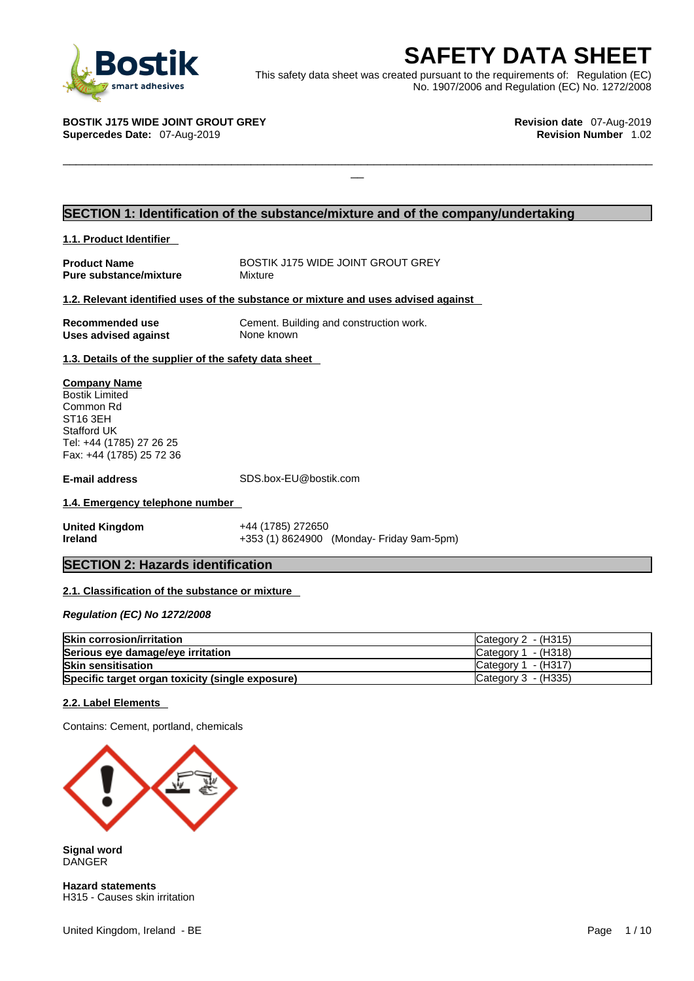

**SAFETY DATA SHEET**<br>
et was created pursuant to the requirements of: Regulation (EC)<br>
No. 1907/2006 and Regulation (EC) No. 1272/2008<br>
Revision date 07-Aug-2019<br>
Revision Number 1.02 This safety data sheet was created pursuant to the requirements of: Regulation (EC) No. 1907/2006 and Regulation (EC) No. 1272/2008

 $\Box$ 

**BOSTIK J175 WIDE JOINT GROUT GREY Revision date** 07-Aug-2019

### **Supercedes Date: 07-Aug-2019**

### **SECTION 1: Identification of the substance/mixture and of the company/undertaking**

### **1.1. Product Identifier**

**Product Name**<br> **Pure substance/mixture** Mixture Mixture<br>
Mixture **Pure substance/mixture** 

### **1.2. Relevant identified uses of the substance or mixture and uses advised against**

**Uses advised against** None known

**Recommended use** Cement. Building and construction work.

**1.3. Details of the supplier of the safety data sheet**

**Company Name** Bostik Limited Common Rd ST16 3EH Stafford UK Tel: +44 (1785) 27 26 25 Fax: +44 (1785) 25 72 36

**E-mail address** SDS.box-EU@bostik.com

### **1.4. Emergency telephone number**

**United Kingdom** +44 (1785) 272650 **Ireland** +353 (1) 8624900 (Monday- Friday 9am-5pm)

### **SECTION 2: Hazards identification**

### **2.1. Classification of the substance or mixture**

*Regulation (EC) No 1272/2008* 

| <b>Skin corrosion/irritation</b>                 | Category 2 $-$ (H315) |
|--------------------------------------------------|-----------------------|
| Serious eye damage/eye irritation                | Category $1 - (H318)$ |
| <b>Skin sensitisation</b>                        | Category $1 - (H317)$ |
| Specific target organ toxicity (single exposure) | Category 3 - (H335)   |

### **2.2. Label Elements**

Contains: Cement, portland, chemicals



**Signal word** DANGER

**Hazard statements** H315 - Causes skin irritation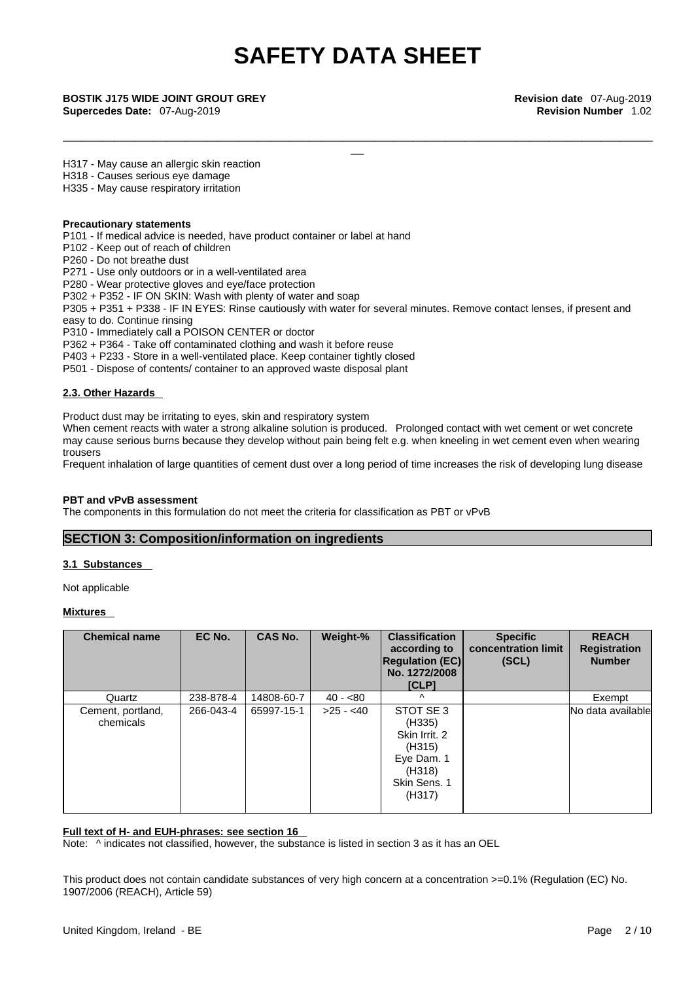\_\_\_\_\_\_\_\_\_\_\_\_\_\_\_\_\_\_\_\_\_\_\_\_\_\_\_\_\_\_\_\_\_\_\_\_\_\_\_\_\_\_\_\_\_\_\_\_\_\_\_\_\_\_\_\_\_\_\_\_\_\_\_\_\_\_\_\_\_\_\_\_\_\_\_\_\_\_\_\_\_\_\_\_\_\_\_\_\_\_\_

**Supercedes Date:** 07-Aug-2019 **Revision Number** 1.02

\_\_ **BOSTIK J175 WIDE JOINT GROUT GREY Revision date** 07-Aug-2019

H317 - May cause an allergic skin reaction

H318 - Causes serious eye damage

H335 - May cause respiratory irritation

### **Precautionary statements**

P101 - If medical advice is needed, have product container or label at hand

P102 - Keep out of reach of children

P260 - Do not breathe dust

P271 - Use only outdoors or in a well-ventilated area

P280 - Wear protective gloves and eye/face protection

P302 + P352 - IF ON SKIN: Wash with plenty of water and soap

P305 + P351 + P338 - IF IN EYES: Rinse cautiously with water for several minutes. Remove contact lenses, if present and easy to do. Continue rinsing

P310 - Immediately call a POISON CENTER or doctor

P362 + P364 - Take off contaminated clothing and wash it before reuse

P403 + P233 - Store in a well-ventilated place. Keep container tightly closed

P501 - Dispose of contents/ container to an approved waste disposal plant

### **2.3. Other Hazards**

Product dust may be irritating to eyes, skin and respiratory system

When cement reacts with water a strong alkaline solution is produced. Prolonged contact with wet cement or wet concrete may cause serious burns because they develop without pain being felt e.g. when kneeling in wet cement even when wearing trousers

Frequent inhalation of large quantities of cement dust over a long period of time increases the risk of developing lung disease

### **PBT and vPvB assessment**

The components in this formulation do not meet the criteria for classification as PBT or vPvB

### **SECTION 3: Composition/information on ingredients**

### **3.1 Substances**

Not applicable

**Mixtures** 

| <b>Chemical name</b>           | EC No.    | CAS No.    | Weight-%   | <b>Classification</b><br>according to<br><b>Regulation (EC)</b><br>No. 1272/2008<br>ICLP         | <b>Specific</b><br>concentration limit<br>(SCL) | <b>REACH</b><br><b>Registration</b><br><b>Number</b> |
|--------------------------------|-----------|------------|------------|--------------------------------------------------------------------------------------------------|-------------------------------------------------|------------------------------------------------------|
| Quartz                         | 238-878-4 | 14808-60-7 | $40 - 80$  | $\wedge$                                                                                         |                                                 | Exempt                                               |
| Cement, portland,<br>chemicals | 266-043-4 | 65997-15-1 | $>25 - 40$ | STOT SE 3<br>(H335)<br>Skin Irrit, 2<br>(H315)<br>Eye Dam. 1<br>(H318)<br>Skin Sens. 1<br>(H317) |                                                 | No data available                                    |

### **Full text of H- and EUH-phrases: see section 16**

Note:  $\wedge$  indicates not classified, however, the substance is listed in section 3 as it has an OEL

This product does not contain candidate substances of very high concern at a concentration >=0.1% (Regulation (EC) No. 1907/2006 (REACH), Article 59)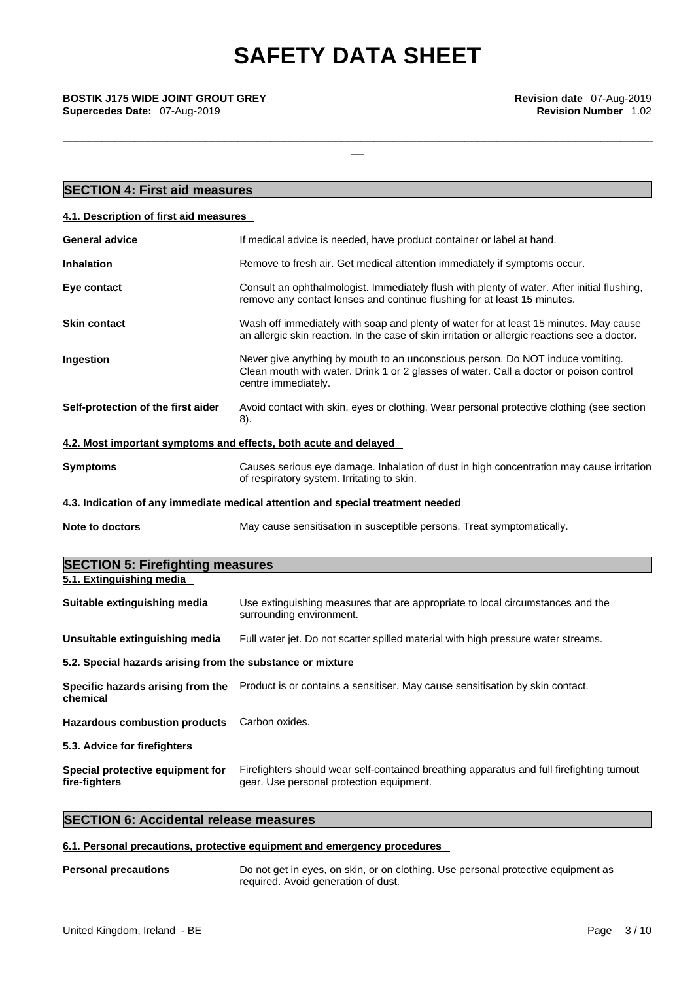\_\_\_\_\_\_\_\_\_\_\_\_\_\_\_\_\_\_\_\_\_\_\_\_\_\_\_\_\_\_\_\_\_\_\_\_\_\_\_\_\_\_\_\_\_\_\_\_\_\_\_\_\_\_\_\_\_\_\_\_\_\_\_\_\_\_\_\_\_\_\_\_\_\_\_\_\_\_\_\_\_\_\_\_\_\_\_\_\_\_\_

# \_\_ **BOSTIK J175 WIDE JOINT GROUT GREY Revision date** 07-Aug-2019

**Supercedes Date:** 07-Aug-2019 **Revision Number** 1.02

| <b>SECTION 4: First aid measures</b>                                                                                                                                                                          |  |
|---------------------------------------------------------------------------------------------------------------------------------------------------------------------------------------------------------------|--|
| 4.1. Description of first aid measures                                                                                                                                                                        |  |
| <b>General advice</b><br>If medical advice is needed, have product container or label at hand.                                                                                                                |  |
| <b>Inhalation</b><br>Remove to fresh air. Get medical attention immediately if symptoms occur.                                                                                                                |  |
| Consult an ophthalmologist. Immediately flush with plenty of water. After initial flushing,<br>Eye contact<br>remove any contact lenses and continue flushing for at least 15 minutes.                        |  |
| Wash off immediately with soap and plenty of water for at least 15 minutes. May cause<br><b>Skin contact</b><br>an allergic skin reaction. In the case of skin irritation or allergic reactions see a doctor. |  |
| Ingestion<br>Never give anything by mouth to an unconscious person. Do NOT induce vomiting.<br>Clean mouth with water. Drink 1 or 2 glasses of water. Call a doctor or poison control<br>centre immediately.  |  |
| Self-protection of the first aider<br>Avoid contact with skin, eyes or clothing. Wear personal protective clothing (see section<br>8).                                                                        |  |
| 4.2. Most important symptoms and effects, both acute and delayed                                                                                                                                              |  |
| Causes serious eye damage. Inhalation of dust in high concentration may cause irritation<br><b>Symptoms</b><br>of respiratory system. Irritating to skin.                                                     |  |
| 4.3. Indication of any immediate medical attention and special treatment needed                                                                                                                               |  |
| May cause sensitisation in susceptible persons. Treat symptomatically.<br>Note to doctors                                                                                                                     |  |
| <b>SECTION 5: Firefighting measures</b>                                                                                                                                                                       |  |
| 5.1. Extinguishing media                                                                                                                                                                                      |  |
| Use extinguishing measures that are appropriate to local circumstances and the<br>Suitable extinguishing media<br>surrounding environment.                                                                    |  |
| Full water jet. Do not scatter spilled material with high pressure water streams.<br>Unsuitable extinguishing media                                                                                           |  |
| 5.2. Special hazards arising from the substance or mixture                                                                                                                                                    |  |
| Specific hazards arising from the Product is or contains a sensitiser. May cause sensitisation by skin contact.<br>chemical                                                                                   |  |
| <b>Hazardous combustion products</b><br>Carbon oxides.                                                                                                                                                        |  |
| 5.3. Advice for firefighters                                                                                                                                                                                  |  |
| Special protective equipment for<br>Firefighters should wear self-contained breathing apparatus and full firefighting turnout<br>gear. Use personal protection equipment.<br>fire-fighters                    |  |

### **SECTION 6: Accidental release measures**

### **6.1. Personal precautions, protective equipment and emergency procedures**

### **Personal precautions** Do not get in eyes, on skin, or on clothing. Use personal protective equipment as required. Avoid generation of dust.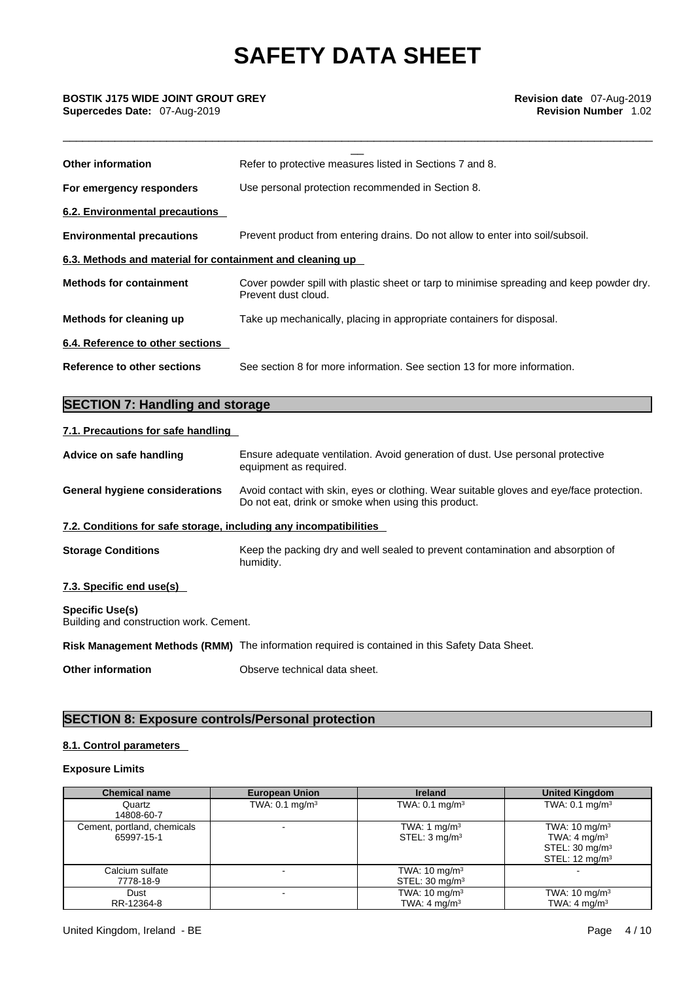\_\_\_\_\_\_\_\_\_\_\_\_\_\_\_\_\_\_\_\_\_\_\_\_\_\_\_\_\_\_\_\_\_\_\_\_\_\_\_\_\_\_\_\_\_\_\_\_\_\_\_\_\_\_\_\_\_\_\_\_\_\_\_\_\_\_\_\_\_\_\_\_\_\_\_\_\_\_\_\_\_\_\_\_\_\_\_\_\_\_\_

# \_\_ **BOSTIK J175 WIDE JOINT GROUT GREY Revision date** 07-Aug-2019 **Supercedes Date:** 07-Aug-2019 **Revision Number** 1.02

| <b>Other information</b>                                  | Refer to protective measures listed in Sections 7 and 8.                                                        |
|-----------------------------------------------------------|-----------------------------------------------------------------------------------------------------------------|
| For emergency responders                                  | Use personal protection recommended in Section 8.                                                               |
| 6.2. Environmental precautions                            |                                                                                                                 |
| <b>Environmental precautions</b>                          | Prevent product from entering drains. Do not allow to enter into soil/subsoil.                                  |
| 6.3. Methods and material for containment and cleaning up |                                                                                                                 |
| <b>Methods for containment</b>                            | Cover powder spill with plastic sheet or tarp to minimise spreading and keep powder dry.<br>Prevent dust cloud. |
| Methods for cleaning up                                   | Take up mechanically, placing in appropriate containers for disposal.                                           |
| 6.4. Reference to other sections                          |                                                                                                                 |
| Reference to other sections                               | See section 8 for more information. See section 13 for more information.                                        |
|                                                           |                                                                                                                 |
| <b>SECTION 7: Handling and storage</b>                    |                                                                                                                 |

### **7.1. Precautions for safe handling**

| Advice on safe handling                                           | Ensure adequate ventilation. Avoid generation of dust. Use personal protective<br>equipment as required.                                        |  |
|-------------------------------------------------------------------|-------------------------------------------------------------------------------------------------------------------------------------------------|--|
| <b>General hygiene considerations</b>                             | Avoid contact with skin, eyes or clothing. Wear suitable gloves and eye/face protection.<br>Do not eat, drink or smoke when using this product. |  |
| 7.2. Conditions for safe storage, including any incompatibilities |                                                                                                                                                 |  |
| <b>Storage Conditions</b>                                         | Keep the packing dry and well sealed to prevent contamination and absorption of<br>humidity.                                                    |  |
| 7.3. Specific end use(s)                                          |                                                                                                                                                 |  |
| <b>Specific Use(s)</b><br>Building and construction work. Cement. |                                                                                                                                                 |  |
|                                                                   | Risk Management Methods (RMM) The information required is contained in this Safety Data Sheet.                                                  |  |
| <b>Other information</b>                                          | Observe technical data sheet.                                                                                                                   |  |

### **SECTION 8: Exposure controls/Personal protection**

### **8.1. Control parameters**

### **Exposure Limits**

| <b>Chemical name</b>                      | <b>European Union</b>        | <b>Ireland</b>                                        | <b>United Kingdom</b>                                                                                           |
|-------------------------------------------|------------------------------|-------------------------------------------------------|-----------------------------------------------------------------------------------------------------------------|
| Quartz<br>14808-60-7                      | TWA: $0.1$ mg/m <sup>3</sup> | TWA: $0.1 \text{ mg/m}^3$                             | TWA: $0.1 \text{ mg/m}^3$                                                                                       |
| Cement, portland, chemicals<br>65997-15-1 |                              | TWA: 1 mg/m $3$<br>STEL: 3 mg/m <sup>3</sup>          | TWA: $10 \text{ mg/m}^3$<br>TWA: 4 mg/m <sup>3</sup><br>STEL: 30 mg/m <sup>3</sup><br>STEL: $12 \text{ mg/m}^3$ |
| Calcium sulfate<br>7778-18-9              |                              | TWA: $10 \text{ mg/m}^3$<br>STEL: $30 \text{ mg/m}^3$ |                                                                                                                 |
| Dust<br>RR-12364-8                        |                              | TWA: $10 \text{ mg/m}^3$<br>TWA: $4 \text{ mg/m}^3$   | TWA: $10 \text{ mg/m}^3$<br>TWA: $4 \text{ mg/m}^3$                                                             |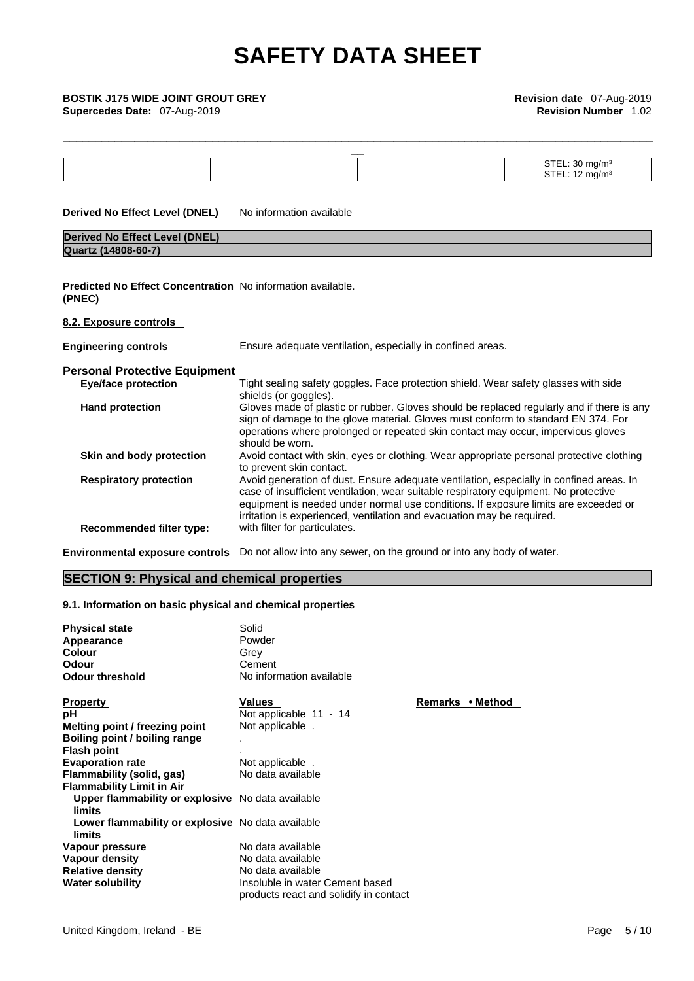| <b>BOSTIK J175 WIDE JOINT GROUT GREY</b><br>Supercedes Date: 07-Aug-2019     | Revision date 07-Aug-2019<br><b>Revision Number 1.02</b>                                                                                                                                                                                                                                                                                         |                            |
|------------------------------------------------------------------------------|--------------------------------------------------------------------------------------------------------------------------------------------------------------------------------------------------------------------------------------------------------------------------------------------------------------------------------------------------|----------------------------|
|                                                                              |                                                                                                                                                                                                                                                                                                                                                  |                            |
|                                                                              |                                                                                                                                                                                                                                                                                                                                                  | STEL: 30 mg/m <sup>3</sup> |
|                                                                              |                                                                                                                                                                                                                                                                                                                                                  | STEL: $12 \text{ mg/m}^3$  |
| <b>Derived No Effect Level (DNEL)</b>                                        | No information available                                                                                                                                                                                                                                                                                                                         |                            |
| <b>Derived No Effect Level (DNEL)</b>                                        |                                                                                                                                                                                                                                                                                                                                                  |                            |
| Quartz (14808-60-7)                                                          |                                                                                                                                                                                                                                                                                                                                                  |                            |
| <b>Predicted No Effect Concentration</b> No information available.<br>(PNEC) |                                                                                                                                                                                                                                                                                                                                                  |                            |
| 8.2. Exposure controls                                                       |                                                                                                                                                                                                                                                                                                                                                  |                            |
| <b>Engineering controls</b>                                                  | Ensure adequate ventilation, especially in confined areas.                                                                                                                                                                                                                                                                                       |                            |
| <b>Personal Protective Equipment</b>                                         |                                                                                                                                                                                                                                                                                                                                                  |                            |
| <b>Eye/face protection</b>                                                   | Tight sealing safety goggles. Face protection shield. Wear safety glasses with side<br>shields (or goggles).                                                                                                                                                                                                                                     |                            |
| <b>Hand protection</b>                                                       | Gloves made of plastic or rubber. Gloves should be replaced regularly and if there is any<br>sign of damage to the glove material. Gloves must conform to standard EN 374. For<br>operations where prolonged or repeated skin contact may occur, impervious gloves<br>should be worn.                                                            |                            |
| Skin and body protection                                                     | Avoid contact with skin, eyes or clothing. Wear appropriate personal protective clothing<br>to prevent skin contact.                                                                                                                                                                                                                             |                            |
| <b>Respiratory protection</b>                                                | Avoid generation of dust. Ensure adequate ventilation, especially in confined areas. In<br>case of insufficient ventilation, wear suitable respiratory equipment. No protective<br>equipment is needed under normal use conditions. If exposure limits are exceeded or<br>irritation is experienced, ventilation and evacuation may be required. |                            |
| Recommended filter type:                                                     | with filter for particulates.                                                                                                                                                                                                                                                                                                                    |                            |
| <b>Environmental exposure controls</b>                                       | Do not allow into any sewer, on the ground or into any body of water.                                                                                                                                                                                                                                                                            |                            |

### **SECTION 9: Physical and chemical properties**

### **9.1. Information on basic physical and chemical properties**

| <b>Physical state</b><br>Appearance<br><b>Colour</b><br><b>Odour</b><br><b>Odour threshold</b> | Solid<br>Powder<br>Grey<br>Cement<br>No information available             |                  |
|------------------------------------------------------------------------------------------------|---------------------------------------------------------------------------|------------------|
| <b>Property</b>                                                                                | Values                                                                    | Remarks • Method |
| рH                                                                                             | Not applicable 11 - 14                                                    |                  |
| Melting point / freezing point                                                                 | Not applicable.                                                           |                  |
| Boiling point / boiling range                                                                  | $\mathbf{r}$                                                              |                  |
| <b>Flash point</b>                                                                             |                                                                           |                  |
| <b>Evaporation rate</b>                                                                        | Not applicable                                                            |                  |
| Flammability (solid, gas)                                                                      | No data available                                                         |                  |
| <b>Flammability Limit in Air</b>                                                               |                                                                           |                  |
| Upper flammability or explosive No data available<br>limits                                    |                                                                           |                  |
| Lower flammability or explosive No data available<br>limits                                    |                                                                           |                  |
| Vapour pressure                                                                                | No data available                                                         |                  |
| Vapour density                                                                                 | No data available                                                         |                  |
| <b>Relative density</b>                                                                        | No data available                                                         |                  |
| <b>Water solubility</b>                                                                        | Insoluble in water Cement based<br>products react and solidify in contact |                  |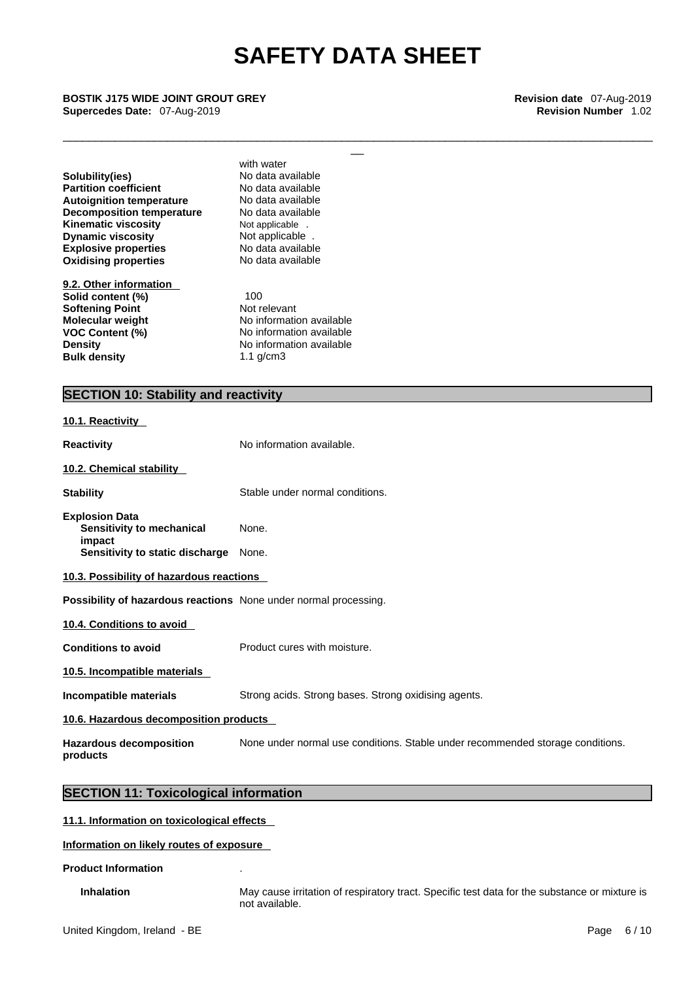\_\_\_\_\_\_\_\_\_\_\_\_\_\_\_\_\_\_\_\_\_\_\_\_\_\_\_\_\_\_\_\_\_\_\_\_\_\_\_\_\_\_\_\_\_\_\_\_\_\_\_\_\_\_\_\_\_\_\_\_\_\_\_\_\_\_\_\_\_\_\_\_\_\_\_\_\_\_\_\_\_\_\_\_\_\_\_\_\_\_\_

\_\_ **BOSTIK J175 WIDE JOINT GROUT GREY Revision date** 07-Aug-2019 **Supercedes Date:** 07-Aug-2019 **Revision Number** 1.02

**Explosive properties** No data available<br> **Oxidising properties** No data available **Oxidising properties Solubility(ies)** No data available<br> **Partition coefficient** No data available **Partition coefficient**<br> **Autoignition temperature**<br>
No data available **Autoignition temperature Decomposition temperature** No data available **Kinematic viscosity Not applicable** .<br> **Dynamic viscosity Not applicable** . **Dynamic viscosity** 

**9.2. Other information Solid content (%)** 100<br> **Softening Point** Not relevant **Softening Point Bulk density** 1.1 g/cm3

with water

**Molecular weight** No information available **VOC Content (%)** No information available **Density No information available** 

### **SECTION 10: Stability and reactivity**

| 10.1. Reactivity                                                                                |                                                                                |
|-------------------------------------------------------------------------------------------------|--------------------------------------------------------------------------------|
| <b>Reactivity</b>                                                                               | No information available.                                                      |
| 10.2. Chemical stability                                                                        |                                                                                |
| <b>Stability</b>                                                                                | Stable under normal conditions.                                                |
| <b>Explosion Data</b><br>Sensitivity to mechanical<br>impact<br>Sensitivity to static discharge | None.<br>None.                                                                 |
| 10.3. Possibility of hazardous reactions                                                        |                                                                                |
| Possibility of hazardous reactions None under normal processing.                                |                                                                                |
| 10.4. Conditions to avoid                                                                       |                                                                                |
| <b>Conditions to avoid</b>                                                                      | Product cures with moisture.                                                   |
| 10.5. Incompatible materials                                                                    |                                                                                |
| Incompatible materials                                                                          | Strong acids. Strong bases. Strong oxidising agents.                           |
| 10.6. Hazardous decomposition products                                                          |                                                                                |
| <b>Hazardous decomposition</b><br>products                                                      | None under normal use conditions. Stable under recommended storage conditions. |
| <b>SECTION 11: Toxicological information</b>                                                    |                                                                                |
| 11.1 Information on toxicological offects                                                       |                                                                                |

### **11.1. Information on toxicological effects**

### **Information on likely routes of exposure**

### **Product Information** .

**Inhalation** May cause irritation of respiratory tract. Specific test data for the substance or mixture is not available.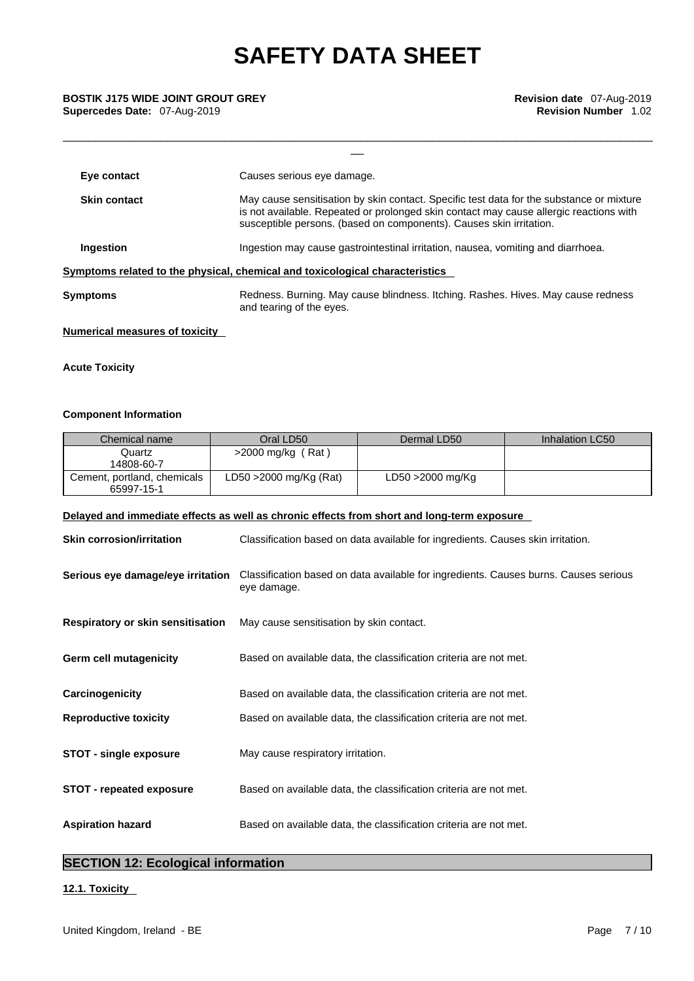\_\_\_\_\_\_\_\_\_\_\_\_\_\_\_\_\_\_\_\_\_\_\_\_\_\_\_\_\_\_\_\_\_\_\_\_\_\_\_\_\_\_\_\_\_\_\_\_\_\_\_\_\_\_\_\_\_\_\_\_\_\_\_\_\_\_\_\_\_\_\_\_\_\_\_\_\_\_\_\_\_\_\_\_\_\_\_\_\_\_\_

| Eye contact                                                                  | Causes serious eye damage.                                                                                                                                                                                                                                |  |
|------------------------------------------------------------------------------|-----------------------------------------------------------------------------------------------------------------------------------------------------------------------------------------------------------------------------------------------------------|--|
| <b>Skin contact</b>                                                          | May cause sensitisation by skin contact. Specific test data for the substance or mixture<br>is not available. Repeated or prolonged skin contact may cause allergic reactions with<br>susceptible persons. (based on components). Causes skin irritation. |  |
| Ingestion                                                                    | Ingestion may cause gastrointestinal irritation, nausea, vomiting and diarrhoea.                                                                                                                                                                          |  |
| Symptoms related to the physical, chemical and toxicological characteristics |                                                                                                                                                                                                                                                           |  |
| Symptoms                                                                     | Redness. Burning. May cause blindness. Itching. Rashes. Hives. May cause redness<br>and tearing of the eyes.                                                                                                                                              |  |

### **Numerical measures of toxicity**

### **Acute Toxicity**

### **Component Information**

| Chemical name                             | Oral LD50                 | Dermal LD50      | Inhalation LC50 |
|-------------------------------------------|---------------------------|------------------|-----------------|
| Quartz<br>14808-60-7                      | $>2000$ mg/kg (Rat)       |                  |                 |
| Cement, portland, chemicals<br>65997-15-1 | $LD50 > 2000$ mg/Kg (Rat) | LD50 >2000 mg/Kg |                 |

### **Delayed and immediate effects as well as chronic effects from short and long-term exposure**

| <b>Skin corrosion/irritation</b>         | Classification based on data available for ingredients. Causes skin irritation.                     |
|------------------------------------------|-----------------------------------------------------------------------------------------------------|
| Serious eye damage/eye irritation        | Classification based on data available for ingredients. Causes burns. Causes serious<br>eye damage. |
| <b>Respiratory or skin sensitisation</b> | May cause sensitisation by skin contact.                                                            |
| Germ cell mutagenicity                   | Based on available data, the classification criteria are not met.                                   |
| Carcinogenicity                          | Based on available data, the classification criteria are not met.                                   |
| <b>Reproductive toxicity</b>             | Based on available data, the classification criteria are not met.                                   |
| <b>STOT - single exposure</b>            | May cause respiratory irritation.                                                                   |
| <b>STOT - repeated exposure</b>          | Based on available data, the classification criteria are not met.                                   |
| <b>Aspiration hazard</b>                 | Based on available data, the classification criteria are not met.                                   |

### **SECTION 12: Ecological information**

### **12.1. Toxicity**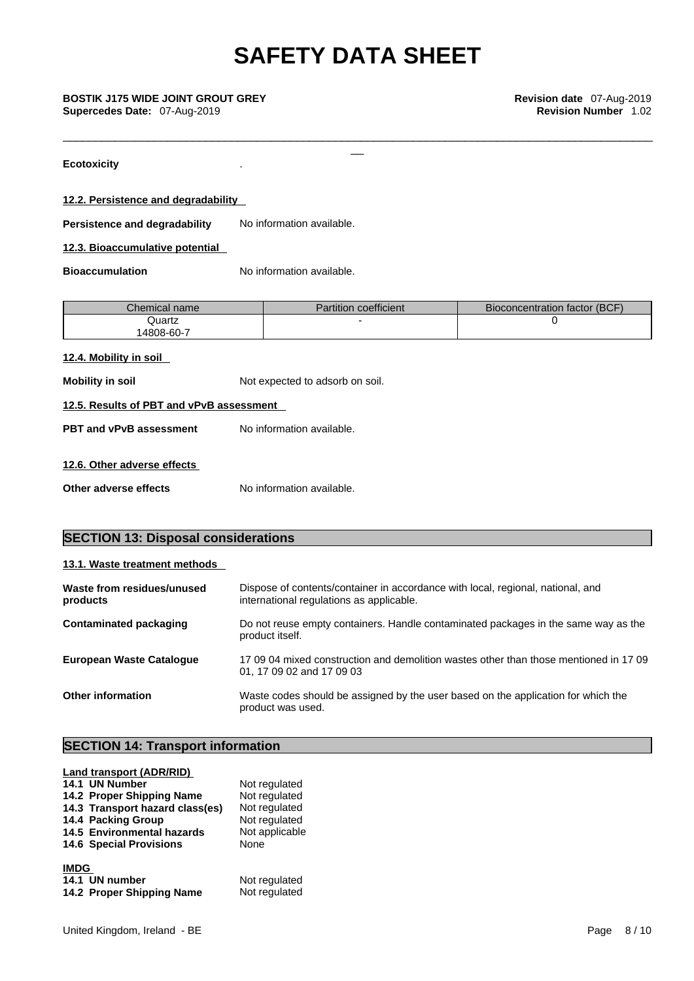\_\_\_\_\_\_\_\_\_\_\_\_\_\_\_\_\_\_\_\_\_\_\_\_\_\_\_\_\_\_\_\_\_\_\_\_\_\_\_\_\_\_\_\_\_\_\_\_\_\_\_\_\_\_\_\_\_\_\_\_\_\_\_\_\_\_\_\_\_\_\_\_\_\_\_\_\_\_\_\_\_\_\_\_\_\_\_\_\_\_\_

**Ecotoxicity** .

**12.2. Persistence and degradability** 

**Persistence and degradability** No information available.

**12.3. Bioaccumulative potential** 

**Bioaccumulation** No information available.

| Chemical name l | Partition coefficient | Bioconcentration factor (BCF) |
|-----------------|-----------------------|-------------------------------|
| Quartz          |                       |                               |
| 14808-60-7      |                       |                               |

### **12.4. Mobility in soil**

**Mobility** in soil **Mobility** in soil.

| 12.5. Results of PBT and vPvB assessment |  |  |  |  |  |  |
|------------------------------------------|--|--|--|--|--|--|
|------------------------------------------|--|--|--|--|--|--|

**PBT** and **vPvB** assessment No information available.

### **12.6. Other adverse effects**

**Other adverse effects** No information available.

### **SECTION 13: Disposal considerations**

|--|

| Waste from residues/unused<br>products | Dispose of contents/container in accordance with local, regional, national, and<br>international regulations as applicable. |
|----------------------------------------|-----------------------------------------------------------------------------------------------------------------------------|
| <b>Contaminated packaging</b>          | Do not reuse empty containers. Handle contaminated packages in the same way as the<br>product itself.                       |
| <b>European Waste Cataloque</b>        | 17 09 04 mixed construction and demolition wastes other than those mentioned in 17 09<br>01, 17 09 02 and 17 09 03          |
| <b>Other information</b>               | Waste codes should be assigned by the user based on the application for which the<br>product was used.                      |

### **SECTION 14: Transport information**

| <b>Land transport (ADR/RID)</b> |                |
|---------------------------------|----------------|
| 14.1 UN Number                  | Not regulated  |
| 14.2 Proper Shipping Name       | Not regulated  |
| 14.3 Transport hazard class(es) | Not regulated  |
| 14.4 Packing Group              | Not regulated  |
| 14.5 Environmental hazards      | Not applicable |
| <b>14.6 Special Provisions</b>  | None           |
| <b>IMDG</b>                     |                |
| 14.1 UN number                  | Not regulated  |
| 14.2 Proper Shipping Name       | Not regulated  |
|                                 |                |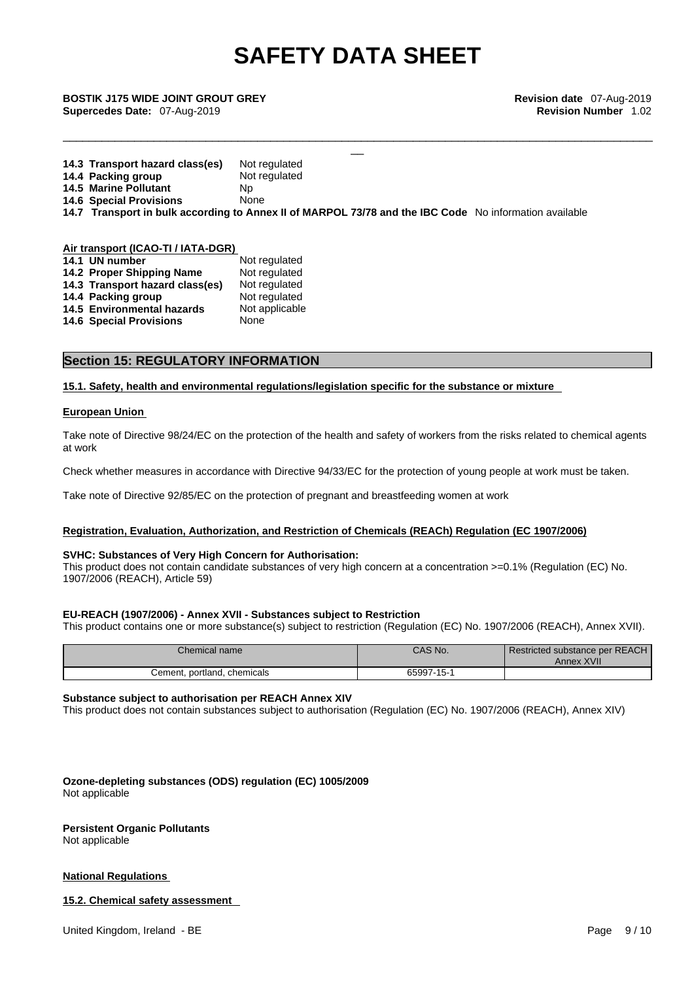\_\_\_\_\_\_\_\_\_\_\_\_\_\_\_\_\_\_\_\_\_\_\_\_\_\_\_\_\_\_\_\_\_\_\_\_\_\_\_\_\_\_\_\_\_\_\_\_\_\_\_\_\_\_\_\_\_\_\_\_\_\_\_\_\_\_\_\_\_\_\_\_\_\_\_\_\_\_\_\_\_\_\_\_\_\_\_\_\_\_\_

\_\_ **BOSTIK J175 WIDE JOINT GROUT GREY Revision date** 07-Aug-2019 **Supercedes Date:** 07-Aug-2019 **Revision Number** 1.02

| 14.3 Transport hazard class(es) | Not regulated                                                                                          |
|---------------------------------|--------------------------------------------------------------------------------------------------------|
| 14.4 Packing group              | Not regulated                                                                                          |
| 14.5 Marine Pollutant           | Np                                                                                                     |
| <b>14.6 Special Provisions</b>  | None                                                                                                   |
|                                 | 14.7 Transport in bulk according to Annex II of MARPOL 73/78 and the IBC Code No information available |
|                                 |                                                                                                        |

### **Air transport (ICAO-TI / IATA-DGR)**

| 14.1 UN number                  | Not regulated  |
|---------------------------------|----------------|
| 14.2 Proper Shipping Name       | Not regulated  |
| 14.3 Transport hazard class(es) | Not regulated  |
| 14.4 Packing group              | Not regulated  |
| 14.5 Environmental hazards      | Not applicable |
| <b>14.6 Special Provisions</b>  | None           |

### **Section 15: REGULATORY INFORMATION**

**15.1. Safety, health and environmental regulations/legislation specific for the substance or mixture**

### **European Union**

Take note of Directive 98/24/EC on the protection of the health and safety of workers from the risks related to chemical agents at work

Check whether measures in accordance with Directive 94/33/EC for the protection of young people at work must be taken.

Take note of Directive 92/85/EC on the protection of pregnant and breastfeeding women at work

### **Registration, Evaluation, Authorization, and Restriction of Chemicals (REACh) Regulation (EC 1907/2006)**

#### **SVHC: Substances of Very High Concern for Authorisation:**

This product does not contain candidate substances of very high concern at a concentration >=0.1% (Regulation (EC) No. 1907/2006 (REACH), Article 59)

#### **EU-REACH (1907/2006) - Annex XVII - Substances subject to Restriction**

This product contains one or more substance(s) subject to restriction (Regulation (EC) No. 1907/2006 (REACH), Annex XVII).

| Chemical name               | CAS No.    | Restricted substance per REACH<br>Annex XVII |  |
|-----------------------------|------------|----------------------------------------------|--|
| Cement, portland, chemicals | 65997-15-1 |                                              |  |

### **Substance subject to authorisation per REACH Annex XIV**

This product does not contain substances subject to authorisation (Regulation (EC) No. 1907/2006 (REACH), Annex XIV)

**Ozone-depleting substances (ODS) regulation (EC) 1005/2009** Not applicable

### **Persistent Organic Pollutants**

Not applicable

### **National Regulations**

#### **15.2. Chemical safety assessment**